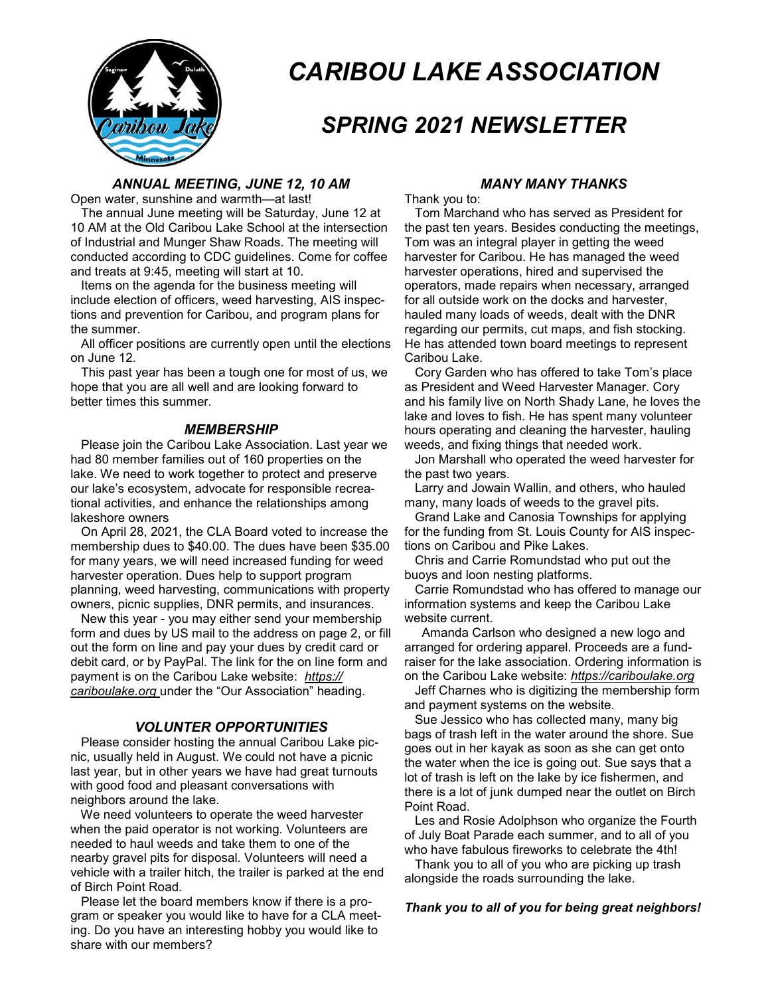

# *CARIBOU LAKE ASSOCIATION*

## *SPRING 2021 NEWSLETTER*

#### *ANNUAL MEETING, JUNE 12, 10 AM*

Open water, sunshine and warmth—at last!

 The annual June meeting will be Saturday, June 12 at 10 AM at the Old Caribou Lake School at the intersection of Industrial and Munger Shaw Roads. The meeting will conducted according to CDC guidelines. Come for coffee and treats at 9:45, meeting will start at 10.

 Items on the agenda for the business meeting will include election of officers, weed harvesting, AIS inspections and prevention for Caribou, and program plans for the summer.

 All officer positions are currently open until the elections on June 12.

 This past year has been a tough one for most of us, we hope that you are all well and are looking forward to better times this summer.

#### *MEMBERSHIP*

 Please join the Caribou Lake Association. Last year we had 80 member families out of 160 properties on the lake. We need to work together to protect and preserve our lake's ecosystem, advocate for responsible recreational activities, and enhance the relationships among lakeshore owners

 On April 28, 2021, the CLA Board voted to increase the membership dues to \$40.00. The dues have been \$35.00 for many years, we will need increased funding for weed harvester operation. Dues help to support program planning, weed harvesting, communications with property owners, picnic supplies, DNR permits, and insurances.

 New this year - you may either send your membership form and dues by US mail to the address on page 2, or fill out the form on line and pay your dues by credit card or debit card, or by PayPal. The link for the on line form and payment is on the Caribou Lake website: *https:// cariboulake.org* under the "Our Association" heading.

## *VOLUNTER OPPORTUNITIES*

 Please consider hosting the annual Caribou Lake picnic, usually held in August. We could not have a picnic last year, but in other years we have had great turnouts with good food and pleasant conversations with neighbors around the lake.

 We need volunteers to operate the weed harvester when the paid operator is not working. Volunteers are needed to haul weeds and take them to one of the nearby gravel pits for disposal. Volunteers will need a vehicle with a trailer hitch, the trailer is parked at the end of Birch Point Road.

 Please let the board members know if there is a program or speaker you would like to have for a CLA meeting. Do you have an interesting hobby you would like to share with our members?

#### *MANY MANY THANKS*

Thank you to:

 Tom Marchand who has served as President for the past ten years. Besides conducting the meetings, Tom was an integral player in getting the weed harvester for Caribou. He has managed the weed harvester operations, hired and supervised the operators, made repairs when necessary, arranged for all outside work on the docks and harvester, hauled many loads of weeds, dealt with the DNR regarding our permits, cut maps, and fish stocking. He has attended town board meetings to represent Caribou Lake.

 Cory Garden who has offered to take Tom's place as President and Weed Harvester Manager. Cory and his family live on North Shady Lane, he loves the lake and loves to fish. He has spent many volunteer hours operating and cleaning the harvester, hauling weeds, and fixing things that needed work.

 Jon Marshall who operated the weed harvester for the past two years.

 Larry and Jowain Wallin, and others, who hauled many, many loads of weeds to the gravel pits.

 Grand Lake and Canosia Townships for applying for the funding from St. Louis County for AIS inspections on Caribou and Pike Lakes.

 Chris and Carrie Romundstad who put out the buoys and loon nesting platforms.

 Carrie Romundstad who has offered to manage our information systems and keep the Caribou Lake website current.

 Amanda Carlson who designed a new logo and arranged for ordering apparel. Proceeds are a fundraiser for the lake association. Ordering information is on the Caribou Lake website: *https://cariboulake.org* 

Jeff Charnes who is digitizing the membership form and payment systems on the website.

 Sue Jessico who has collected many, many big bags of trash left in the water around the shore. Sue goes out in her kayak as soon as she can get onto the water when the ice is going out. Sue says that a lot of trash is left on the lake by ice fishermen, and there is a lot of junk dumped near the outlet on Birch Point Road.

 Les and Rosie Adolphson who organize the Fourth of July Boat Parade each summer, and to all of you who have fabulous fireworks to celebrate the 4th!

 Thank you to all of you who are picking up trash alongside the roads surrounding the lake.

#### *Thank you to all of you for being great neighbors!*